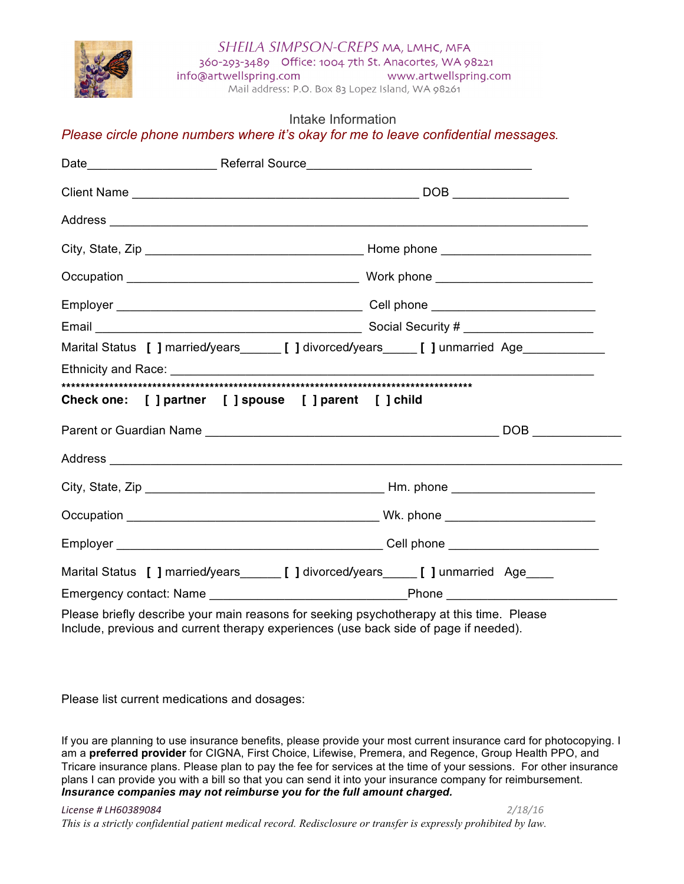SHEILA SIMPSON-CREPS MA, LMHC, MFA



360-293-3489 Office: 1004 7th St. Anacortes, WA 98221 info@artwellspring.com www.artwellspring.com

Mail address: P.O. Box 83 Lopez Island, WA 98261

## Intake Information

*Please circle phone numbers where it's okay for me to leave confidential messages.* 

| Marital Status [ ] married/years__________[ ] divorced/years_____________________         |  |
|-------------------------------------------------------------------------------------------|--|
|                                                                                           |  |
|                                                                                           |  |
| Check one: [ ] partner [ ] spouse [ ] parent [ ] child                                    |  |
|                                                                                           |  |
|                                                                                           |  |
|                                                                                           |  |
|                                                                                           |  |
|                                                                                           |  |
| Marital Status [ ] married/years________ [ ] divorced/years______ [ ] unmarried Age____   |  |
|                                                                                           |  |
| Plaase briefly describe vour main reasons for seeking psychotherany at this time . Please |  |

Please briefly describe your main reasons for seeking psychotherapy at this time. Please Include, previous and current therapy experiences (use back side of page if needed).

Please list current medications and dosages:

If you are planning to use insurance benefits, please provide your most current insurance card for photocopying. I am a **preferred provider** for CIGNA, First Choice, Lifewise, Premera, and Regence, Group Health PPO, and Tricare insurance plans. Please plan to pay the fee for services at the time of your sessions. For other insurance plans I can provide you with a bill so that you can send it into your insurance company for reimbursement. *Insurance companies may not reimburse you for the full amount charged.*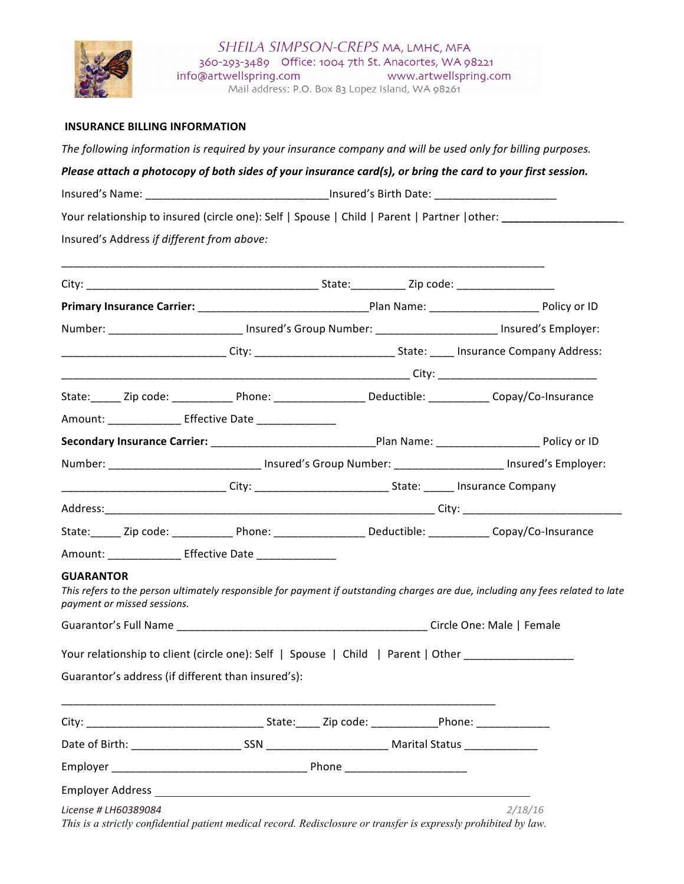

## **INSURANCE BILLING INFORMATION**

The following information is required by your insurance company and will be used only for billing purposes.

*Please attach a photocopy of both sides of your insurance card(s), or bring the card to your first session.* 

Insured's Name: \_\_\_\_\_\_\_\_\_\_\_\_\_\_\_\_\_\_\_\_\_\_\_\_\_\_\_\_\_\_\_\_\_\_\_Insured's Birth Date: \_\_\_\_\_\_\_\_\_\_\_\_\_\_\_\_\_\_\_\_\_\_\_\_\_\_

Your relationship to insured (circle one): Self | Spouse | Child | Parent | Partner | other: \_\_\_\_\_\_\_\_\_\_\_\_\_\_\_\_\_

Insured's Address if different from above:

|                                                        |                                                                                                                  |  | Number: ________________________ Insured's Group Number: _______________________ Insured's Employer:                                                                                                                          |
|--------------------------------------------------------|------------------------------------------------------------------------------------------------------------------|--|-------------------------------------------------------------------------------------------------------------------------------------------------------------------------------------------------------------------------------|
|                                                        |                                                                                                                  |  | City: City: City: City: City: City: City: City: City: City: City: City: City: City: City: City: City: City: City: City: City: City: City: City: City: City: City: City: City: City: City: City: City: City: City: City: City: |
|                                                        |                                                                                                                  |  | State: _____ Zip code: _____________ Phone: ______________________ Deductible: ___________ Copay/Co-Insurance                                                                                                                 |
| Amount: _______________ Effective Date _______________ |                                                                                                                  |  |                                                                                                                                                                                                                               |
|                                                        |                                                                                                                  |  |                                                                                                                                                                                                                               |
|                                                        |                                                                                                                  |  | Number: ____________________________ Insured's Group Number: ____________________ Insured's Employer:                                                                                                                         |
|                                                        | _____________________________City: ________________________________State: _______ Insurance Company              |  |                                                                                                                                                                                                                               |
|                                                        |                                                                                                                  |  |                                                                                                                                                                                                                               |
|                                                        |                                                                                                                  |  | State: _____ Zip code: ______________ Phone: ________________________ Deductible: ____________ Copay/Co-Insurance                                                                                                             |
| Amount: Effective Date                                 |                                                                                                                  |  |                                                                                                                                                                                                                               |
| <b>GUARANTOR</b><br>payment or missed sessions.        |                                                                                                                  |  | This refers to the person ultimately responsible for payment if outstanding charges are due, including any fees related to late                                                                                               |
|                                                        |                                                                                                                  |  |                                                                                                                                                                                                                               |
|                                                        | Your relationship to client (circle one): Self   Spouse   Child   Parent   Other __________________              |  |                                                                                                                                                                                                                               |
| Guarantor's address (if different than insured's):     |                                                                                                                  |  |                                                                                                                                                                                                                               |
|                                                        |                                                                                                                  |  |                                                                                                                                                                                                                               |
|                                                        |                                                                                                                  |  |                                                                                                                                                                                                                               |
|                                                        |                                                                                                                  |  |                                                                                                                                                                                                                               |
|                                                        |                                                                                                                  |  |                                                                                                                                                                                                                               |
|                                                        |                                                                                                                  |  |                                                                                                                                                                                                                               |
| License # LH60389084                                   | This is a strictly confidential patient medical record. Redisclosure or transfer is expressly prohibited by law. |  | 2/18/16                                                                                                                                                                                                                       |